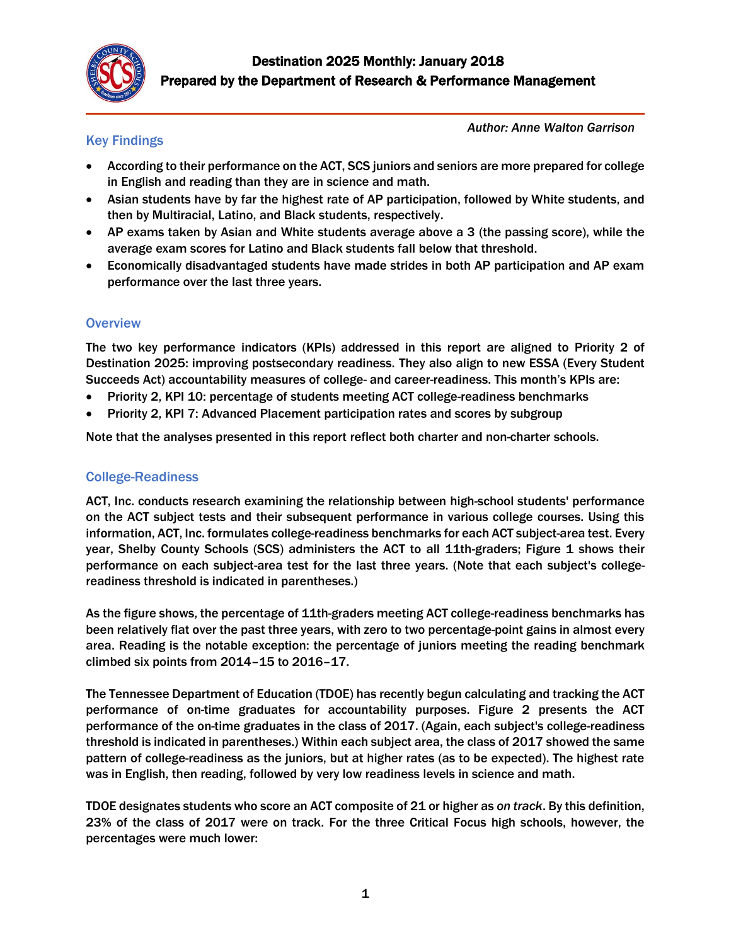

### Key Findings

*Author: Anne Walton Garrison*

- According to their performance on the ACT, SCS juniors and seniors are more prepared for college in English and reading than they are in science and math.
- Asian students have by far the highest rate of AP participation, followed by White students, and then by Multiracial, Latino, and Black students, respectively.
- AP exams taken by Asian and White students average above a 3 (the passing score), while the average exam scores for Latino and Black students fall below that threshold.
- Economically disadvantaged students have made strides in both AP participation and AP exam performance over the last three years.

### **Overview**

The two key performance indicators (KPIs) addressed in this report are aligned to Priority 2 of Destination 2025: improving postsecondary readiness. They also align to new ESSA (Every Student Succeeds Act) accountability measures of college- and career-readiness. This month's KPIs are:

- Priority 2, KPI 10: percentage of students meeting ACT college-readiness benchmarks
- Priority 2, KPI 7: Advanced Placement participation rates and scores by subgroup

Note that the analyses presented in this report reflect both charter and non-charter schools.

### College-Readiness

ACT, Inc. conducts research examining the relationship between high-school students' performance on the ACT subject tests and their subsequent performance in various college courses. Using this information, ACT, Inc. formulates college-readiness benchmarks for each ACT subject-area test. Every year, Shelby County Schools (SCS) administers the ACT to all 11th-graders; Figure 1 shows their performance on each subject-area test for the last three years. (Note that each subject's collegereadiness threshold is indicated in parentheses.)

As the figure shows, the percentage of 11th-graders meeting ACT college-readiness benchmarks has been relatively flat over the past three years, with zero to two percentage-point gains in almost every area. Reading is the notable exception: the percentage of juniors meeting the reading benchmark climbed six points from 2014–15 to 2016–17.

The Tennessee Department of Education (TDOE) has recently begun calculating and tracking the ACT performance of on-time graduates for accountability purposes. Figure 2 presents the ACT performance of the on-time graduates in the class of 2017. (Again, each subject's college-readiness threshold is indicated in parentheses.) Within each subject area, the class of 2017 showed the same pattern of college-readiness as the juniors, but at higher rates (as to be expected). The highest rate was in English, then reading, followed by very low readiness levels in science and math.

TDOE designates students who score an ACT composite of 21 or higher as *on track*. By this definition, 23% of the class of 2017 were on track. For the three Critical Focus high schools, however, the percentages were much lower: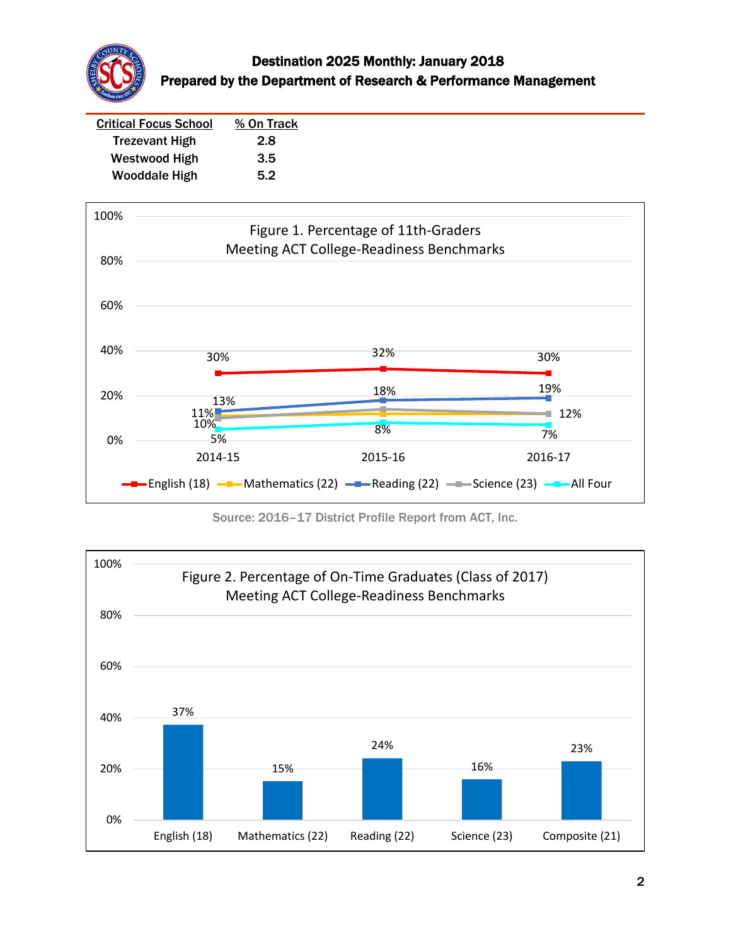

| <b>Critical Focus School</b> | % On Track |
|------------------------------|------------|
| <b>Trezevant High</b>        | 2.8        |
| Westwood High                | 3.5        |
| <b>Wooddale High</b>         | 5.2        |



Source: 2016–17 District Profile Report from ACT, Inc.

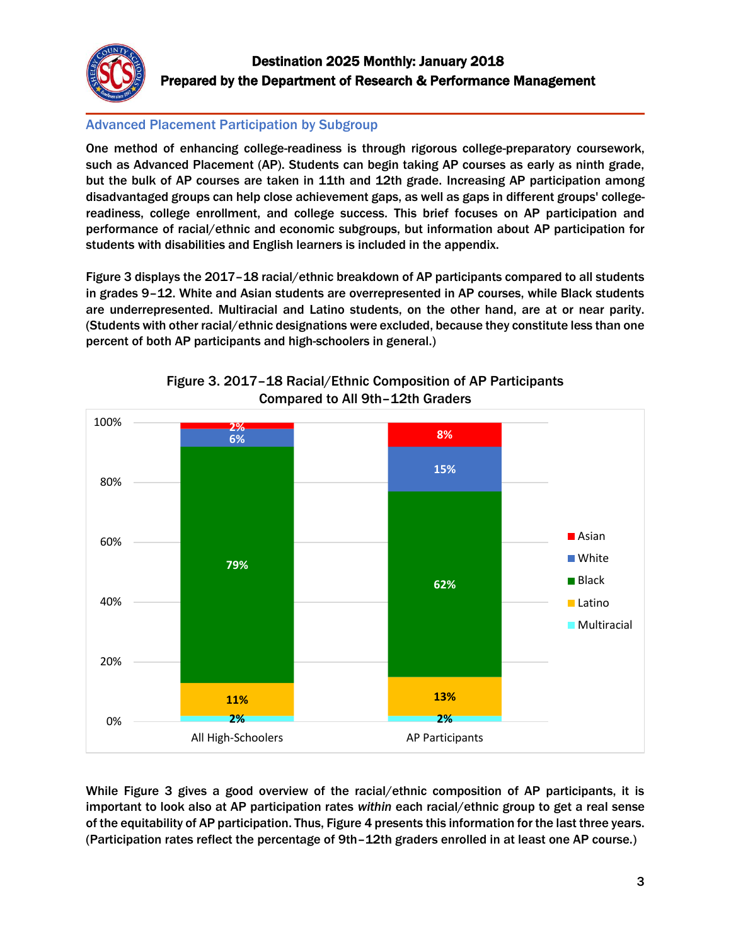

### Advanced Placement Participation by Subgroup

One method of enhancing college-readiness is through rigorous college-preparatory coursework, such as Advanced Placement (AP). Students can begin taking AP courses as early as ninth grade, but the bulk of AP courses are taken in 11th and 12th grade. Increasing AP participation among disadvantaged groups can help close achievement gaps, as well as gaps in different groups' collegereadiness, college enrollment, and college success. This brief focuses on AP participation and performance of racial/ethnic and economic subgroups, but information about AP participation for students with disabilities and English learners is included in the appendix.

Figure 3 displays the 2017–18 racial/ethnic breakdown of AP participants compared to all students in grades 9–12. White and Asian students are overrepresented in AP courses, while Black students are underrepresented. Multiracial and Latino students, on the other hand, are at or near parity. (Students with other racial/ethnic designations were excluded, because they constitute less than one percent of both AP participants and high-schoolers in general.)



Figure 3. 2017–18 Racial/Ethnic Composition of AP Participants Compared to All 9th–12th Graders

While Figure 3 gives a good overview of the racial/ethnic composition of AP participants, it is important to look also at AP participation rates *within* each racial/ethnic group to get a real sense of the equitability of AP participation. Thus, Figure 4 presents this information for the last three years. (Participation rates reflect the percentage of 9th–12th graders enrolled in at least one AP course.)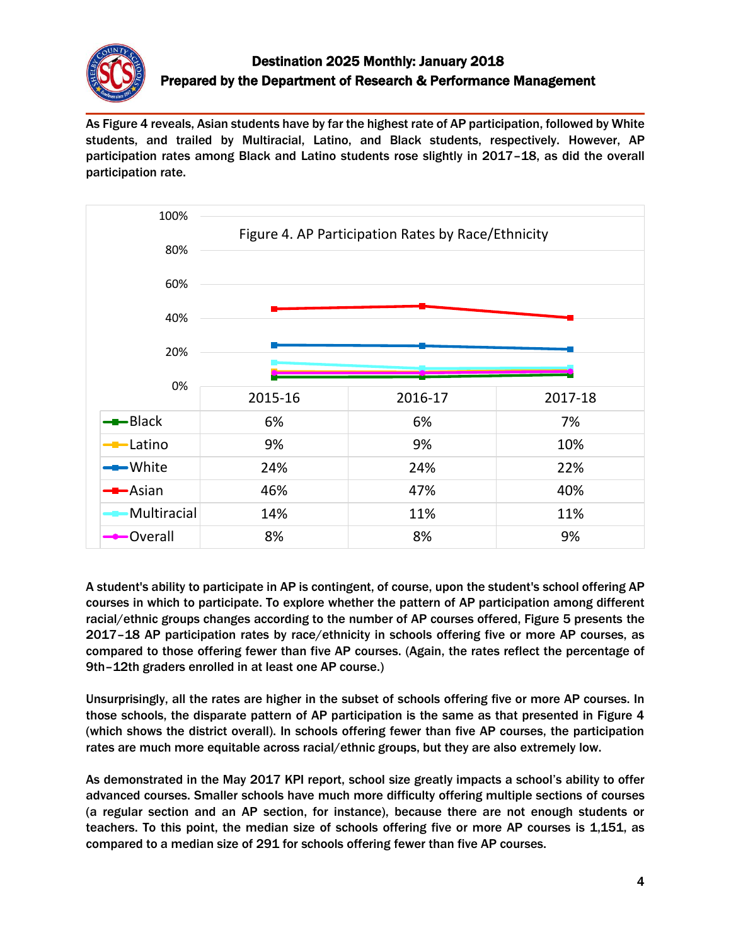

As Figure 4 reveals, Asian students have by far the highest rate of AP participation, followed by White students, and trailed by Multiracial, Latino, and Black students, respectively. However, AP participation rates among Black and Latino students rose slightly in 2017–18, as did the overall participation rate.



A student's ability to participate in AP is contingent, of course, upon the student's school offering AP courses in which to participate. To explore whether the pattern of AP participation among different racial/ethnic groups changes according to the number of AP courses offered, Figure 5 presents the 2017–18 AP participation rates by race/ethnicity in schools offering five or more AP courses, as compared to those offering fewer than five AP courses. (Again, the rates reflect the percentage of 9th–12th graders enrolled in at least one AP course.)

Unsurprisingly, all the rates are higher in the subset of schools offering five or more AP courses. In those schools, the disparate pattern of AP participation is the same as that presented in Figure 4 (which shows the district overall). In schools offering fewer than five AP courses, the participation rates are much more equitable across racial/ethnic groups, but they are also extremely low.

As demonstrated in the May 2017 KPI report, school size greatly impacts a school's ability to offer advanced courses. Smaller schools have much more difficulty offering multiple sections of courses (a regular section and an AP section, for instance), because there are not enough students or teachers. To this point, the median size of schools offering five or more AP courses is 1,151, as compared to a median size of 291 for schools offering fewer than five AP courses.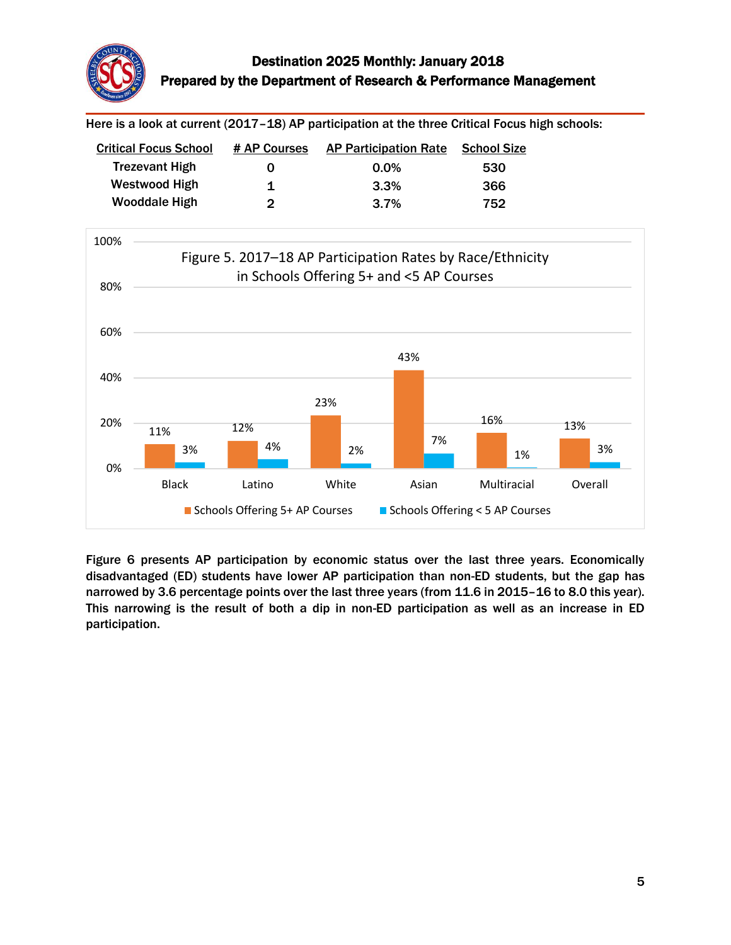

Here is a look at current (2017-18) AP participation at the three Critical Focus high schools:

| <b>Critical Focus School</b> | # AP Courses | <b>AP Participation Rate</b> | <b>School Size</b> |
|------------------------------|--------------|------------------------------|--------------------|
| <b>Trezevant High</b>        | O            | $0.0\%$                      | 530                |
| Westwood High                | 1            | 3.3%                         | 366                |
| <b>Wooddale High</b>         | 2            | $3.7\%$                      | 752                |



Figure 6 presents AP participation by economic status over the last three years. Economically disadvantaged (ED) students have lower AP participation than non-ED students, but the gap has narrowed by 3.6 percentage points over the last three years (from 11.6 in 2015–16 to 8.0 this year). This narrowing is the result of both a dip in non-ED participation as well as an increase in ED participation.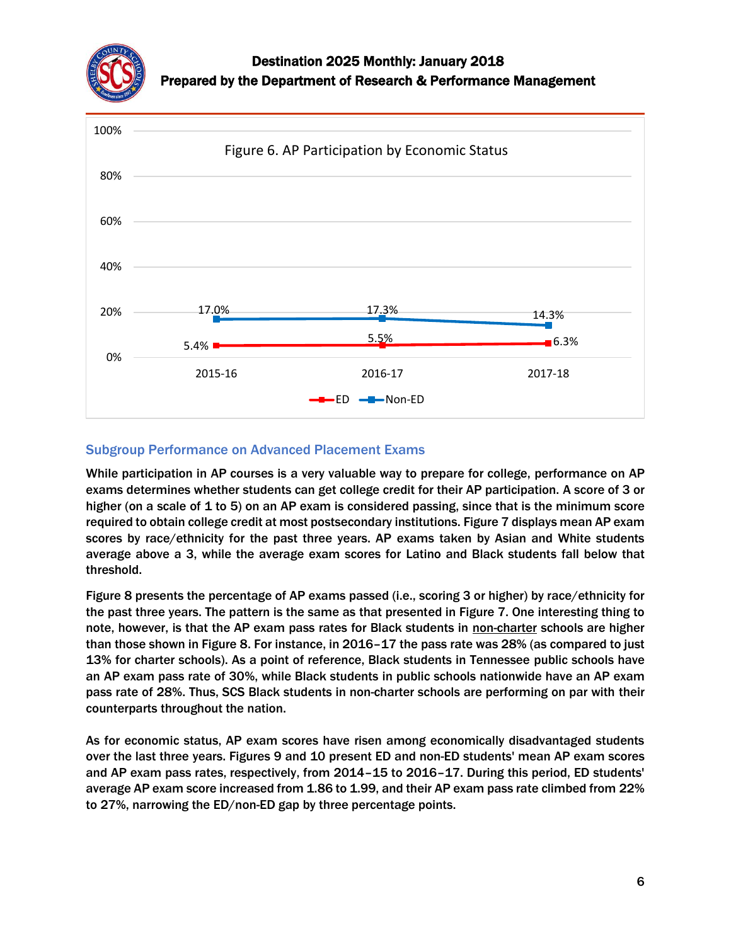



#### Subgroup Performance on Advanced Placement Exams

While participation in AP courses is a very valuable way to prepare for college, performance on AP exams determines whether students can get college credit for their AP participation. A score of 3 or higher (on a scale of 1 to 5) on an AP exam is considered passing, since that is the minimum score required to obtain college credit at most postsecondary institutions. Figure 7 displays mean AP exam scores by race/ethnicity for the past three years. AP exams taken by Asian and White students average above a 3, while the average exam scores for Latino and Black students fall below that threshold.

Figure 8 presents the percentage of AP exams passed (i.e., scoring 3 or higher) by race/ethnicity for the past three years. The pattern is the same as that presented in Figure 7. One interesting thing to note, however, is that the AP exam pass rates for Black students in non-charter schools are higher than those shown in Figure 8. For instance, in 2016–17 the pass rate was 28% (as compared to just 13% for charter schools). As a point of reference, Black students in Tennessee public schools have an AP exam pass rate of 30%, while Black students in public schools nationwide have an AP exam pass rate of 28%. Thus, SCS Black students in non-charter schools are performing on par with their counterparts throughout the nation.

As for economic status, AP exam scores have risen among economically disadvantaged students over the last three years. Figures 9 and 10 present ED and non-ED students' mean AP exam scores and AP exam pass rates, respectively, from 2014–15 to 2016–17. During this period, ED students' average AP exam score increased from 1.86 to 1.99, and their AP exam pass rate climbed from 22% to 27%, narrowing the ED/non-ED gap by three percentage points.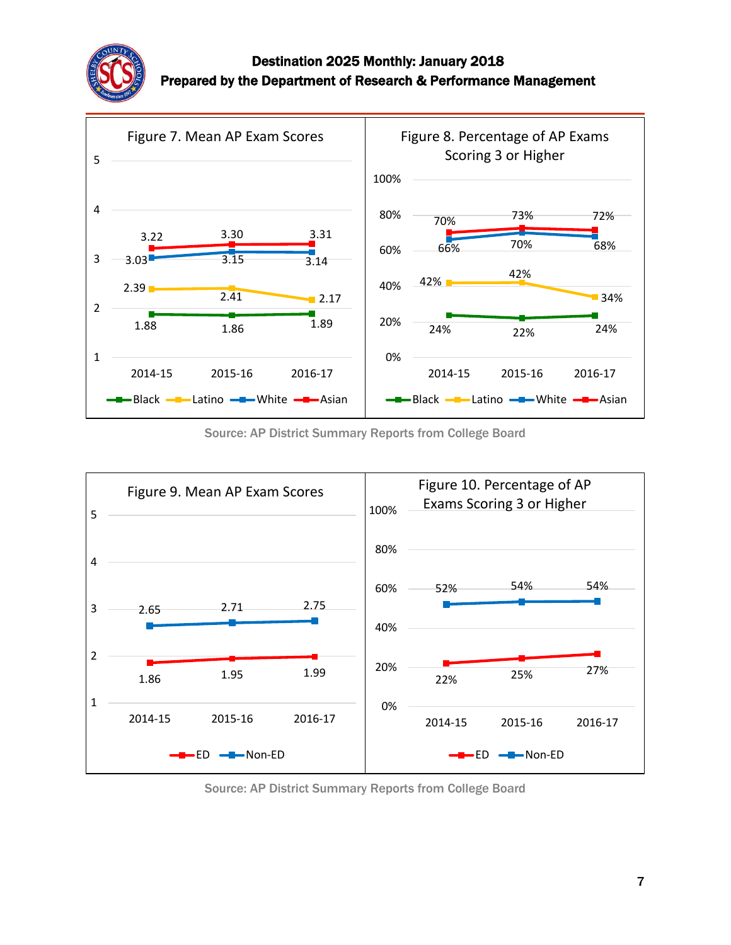



Source: AP District Summary Reports from College Board



Source: AP District Summary Reports from College Board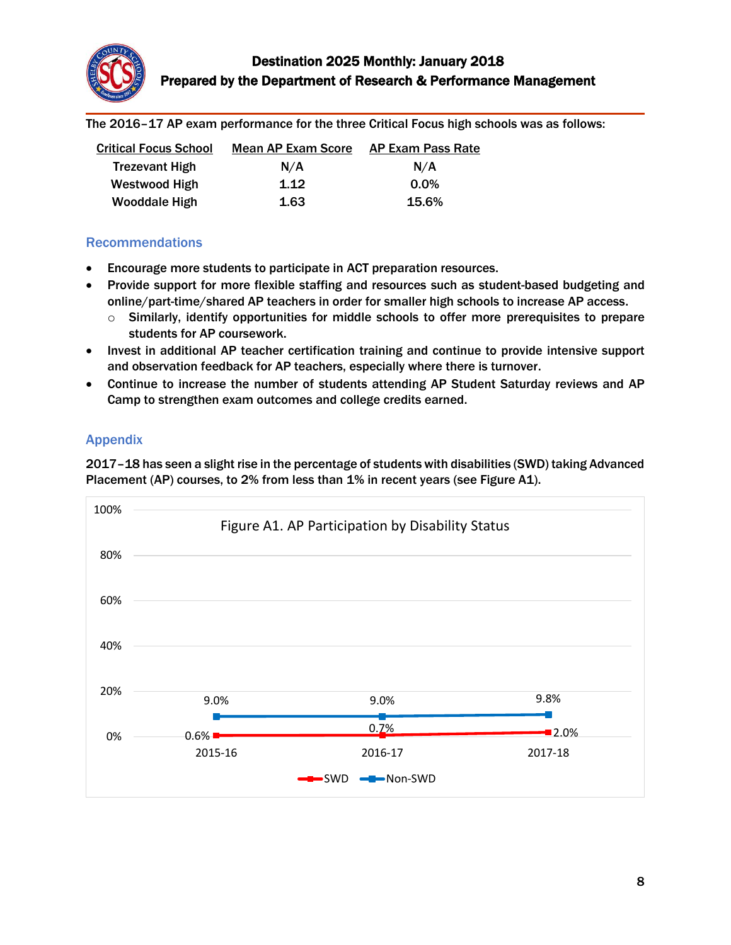

The 2016–17 AP exam performance for the three Critical Focus high schools was as follows:

| <b>Critical Focus School</b> | <b>Mean AP Exam Score</b> | <b>AP Exam Pass Rate</b> |
|------------------------------|---------------------------|--------------------------|
| <b>Trezevant High</b>        | N/A                       | N/A                      |
| Westwood High                | 1.12                      | $0.0\%$                  |
| <b>Wooddale High</b>         | 1.63                      | 15.6%                    |

#### Recommendations

- Encourage more students to participate in ACT preparation resources.
- Provide support for more flexible staffing and resources such as student-based budgeting and online/part-time/shared AP teachers in order for smaller high schools to increase AP access.
	- $\circ$  Similarly, identify opportunities for middle schools to offer more prerequisites to prepare students for AP coursework.
- Invest in additional AP teacher certification training and continue to provide intensive support and observation feedback for AP teachers, especially where there is turnover.
- Continue to increase the number of students attending AP Student Saturday reviews and AP Camp to strengthen exam outcomes and college credits earned.

### Appendix

2017–18 has seen a slight rise in the percentage of students with disabilities (SWD) taking Advanced Placement (AP) courses, to 2% from less than 1% in recent years (see Figure A1).